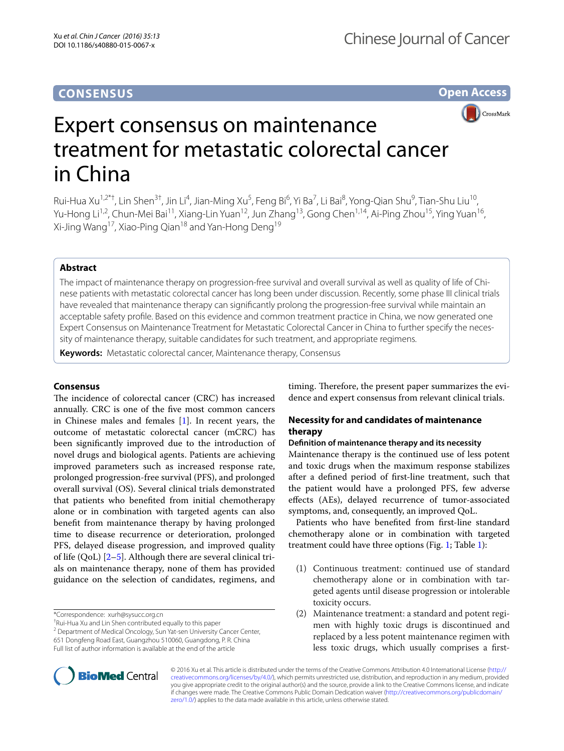# **CONSENSUS**

# **Open Access**



# Expert consensus on maintenance treatment for metastatic colorectal cancer in China

Rui-Hua Xu<sup>1,2\*†</sup>, Lin Shen<sup>3†</sup>, Jin Li<sup>4</sup>, Jian-Ming Xu<sup>5</sup>, Feng Bi<sup>6</sup>, Yi Ba<sup>7</sup>, Li Bai<sup>8</sup>, Yong-Qian Shu<sup>9</sup>, Tian-Shu Liu<sup>10</sup>, Yu-Hong Li<sup>1,2</sup>, Chun-Mei Bai<sup>11</sup>, Xiang-Lin Yuan<sup>12</sup>, Jun Zhang<sup>13</sup>, Gong Chen<sup>1,14</sup>, Ai-Ping Zhou<sup>15</sup>, Ying Yuan<sup>16</sup>, Xi-Jing Wang<sup>17</sup>, Xiao-Ping Qian<sup>18</sup> and Yan-Hong Deng<sup>19</sup>

## **Abstract**

The impact of maintenance therapy on progression-free survival and overall survival as well as quality of life of Chinese patients with metastatic colorectal cancer has long been under discussion. Recently, some phase III clinical trials have revealed that maintenance therapy can significantly prolong the progression-free survival while maintain an acceptable safety profile. Based on this evidence and common treatment practice in China, we now generated one Expert Consensus on Maintenance Treatment for Metastatic Colorectal Cancer in China to further specify the neces‑ sity of maintenance therapy, suitable candidates for such treatment, and appropriate regimens.

**Keywords:** Metastatic colorectal cancer, Maintenance therapy, Consensus

## **Consensus**

The incidence of colorectal cancer (CRC) has increased annually. CRC is one of the five most common cancers in Chinese males and females  $[1]$ . In recent years, the outcome of metastatic colorectal cancer (mCRC) has been significantly improved due to the introduction of novel drugs and biological agents. Patients are achieving improved parameters such as increased response rate, prolonged progression-free survival (PFS), and prolonged overall survival (OS). Several clinical trials demonstrated that patients who benefited from initial chemotherapy alone or in combination with targeted agents can also benefit from maintenance therapy by having prolonged time to disease recurrence or deterioration, prolonged PFS, delayed disease progression, and improved quality of life  $(QoL)$   $[2–5]$  $[2–5]$ . Although there are several clinical trials on maintenance therapy, none of them has provided guidance on the selection of candidates, regimens, and

\*Correspondence: xurh@sysucc.org.cn

<sup>2</sup> Department of Medical Oncology, Sun Yat-sen University Cancer Center, 651 Dongfeng Road East, Guangzhou 510060, Guangdong, P. R. China Full list of author information is available at the end of the article

timing. Therefore, the present paper summarizes the evidence and expert consensus from relevant clinical trials.

## **Necessity for and candidates of maintenance therapy**

## **Definition of maintenance therapy and its necessity**

Maintenance therapy is the continued use of less potent and toxic drugs when the maximum response stabilizes after a defined period of first-line treatment, such that the patient would have a prolonged PFS, few adverse effects (AEs), delayed recurrence of tumor-associated symptoms, and, consequently, an improved QoL.

Patients who have benefited from first-line standard chemotherapy alone or in combination with targeted treatment could have three options (Fig. [1](#page-1-0); Table [1](#page-1-1)):

- (1) Continuous treatment: continued use of standard chemotherapy alone or in combination with targeted agents until disease progression or intolerable toxicity occurs.
- (2) Maintenance treatment: a standard and potent regimen with highly toxic drugs is discontinued and replaced by a less potent maintenance regimen with less toxic drugs, which usually comprises a first-



© 2016 Xu et al. This article is distributed under the terms of the Creative Commons Attribution 4.0 International License ([http://](http://creativecommons.org/licenses/by/4.0/) [creativecommons.org/licenses/by/4.0/](http://creativecommons.org/licenses/by/4.0/)), which permits unrestricted use, distribution, and reproduction in any medium, provided you give appropriate credit to the original author(s) and the source, provide a link to the Creative Commons license, and indicate if changes were made. The Creative Commons Public Domain Dedication waiver ([http://creativecommons.org/publicdomain/](http://creativecommons.org/publicdomain/zero/1.0/) [zero/1.0/](http://creativecommons.org/publicdomain/zero/1.0/)) applies to the data made available in this article, unless otherwise stated.

<sup>†</sup> Rui-Hua Xu and Lin Shen contributed equally to this paper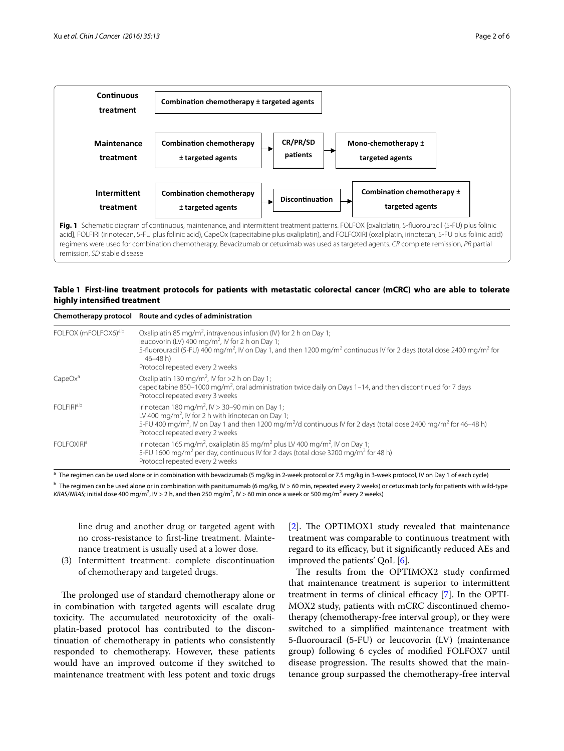

#### <span id="page-1-1"></span><span id="page-1-0"></span>**Table 1 First-line treatment protocols for patients with metastatic colorectal cancer (mCRC) who are able to tolerate highly intensified treatment**

|                            | Chemotherapy protocol Route and cycles of administration                                                                                                                                                                                                                                                                                                       |
|----------------------------|----------------------------------------------------------------------------------------------------------------------------------------------------------------------------------------------------------------------------------------------------------------------------------------------------------------------------------------------------------------|
| FOLFOX (mFOLFOX6)a,b       | Oxaliplatin 85 mg/m <sup>2</sup> , intravenous infusion (IV) for 2 h on Day 1;<br>leucovorin (LV) 400 mg/m <sup>2</sup> , IV for 2 h on Day 1;<br>5-fluorouracil (5-FU) 400 mg/m <sup>2</sup> , IV on Day 1, and then 1200 mg/m <sup>2</sup> continuous IV for 2 days (total dose 2400 mg/m <sup>2</sup> for<br>$46 - 48 h$<br>Protocol repeated every 2 weeks |
| $CapeOx^a$                 | Oxaliplatin 130 mg/m <sup>2</sup> , IV for >2 h on Day 1;<br>capecitabine 850–1000 mg/m <sup>2</sup> , oral administration twice daily on Days 1–14, and then discontinued for 7 days<br>Protocol repeated every 3 weeks                                                                                                                                       |
| $F$ OI FIRI <sup>a,b</sup> | Irinotecan 180 mg/m <sup>2</sup> , IV > 30-90 min on Day 1;<br>LV 400 mg/m <sup>2</sup> , IV for 2 h with irinotecan on Day 1;<br>5-FU 400 mg/m <sup>2</sup> , IV on Day 1 and then 1200 mg/m <sup>2</sup> /d continuous IV for 2 days (total dose 2400 mg/m <sup>2</sup> for 46–48 h)<br>Protocol repeated every 2 weeks                                      |
| <b>FOI FOXIRIA</b>         | Irinotecan 165 mg/m <sup>2</sup> , oxaliplatin 85 mg/m <sup>2</sup> plus LV 400 mg/m <sup>2</sup> , IV on Day 1;<br>5-FU 1600 mg/m <sup>2</sup> per day, continuous IV for 2 days (total dose 3200 mg/m <sup>2</sup> for 48 h)<br>Protocol repeated every 2 weeks                                                                                              |

<sup>a</sup> The regimen can be used alone or in combination with bevacizumab (5 mg/kg in 2-week protocol or 7.5 mg/kg in 3-week protocol, IV on Day 1 of each cycle)

<sup>b</sup> The regimen can be used alone or in combination with panitumumab (6 mg/kg, IV > 60 min, repeated every 2 weeks) or cetuximab (only for patients with wild-type *KRAS/NRAS;* initial dose 400 mg/m<sup>2</sup>, IV > 2 h, and then 250 mg/m<sup>2</sup>, IV > 60 min once a week or 500 mg/m<sup>2</sup> every 2 weeks)

line drug and another drug or targeted agent with no cross-resistance to first-line treatment. Maintenance treatment is usually used at a lower dose.

(3) Intermittent treatment: complete discontinuation of chemotherapy and targeted drugs.

The prolonged use of standard chemotherapy alone or in combination with targeted agents will escalate drug toxicity. The accumulated neurotoxicity of the oxaliplatin-based protocol has contributed to the discontinuation of chemotherapy in patients who consistently responded to chemotherapy. However, these patients would have an improved outcome if they switched to maintenance treatment with less potent and toxic drugs

[[2\]](#page-5-1). The OPTIMOX1 study revealed that maintenance treatment was comparable to continuous treatment with regard to its efficacy, but it significantly reduced AEs and improved the patients' QoL  $[6]$  $[6]$  $[6]$ .

The results from the OPTIMOX2 study confirmed that maintenance treatment is superior to intermittent treatment in terms of clinical efficacy [\[7\]](#page-5-4). In the OPTI-MOX2 study, patients with mCRC discontinued chemotherapy (chemotherapy-free interval group), or they were switched to a simplified maintenance treatment with 5-fluorouracil (5-FU) or leucovorin (LV) (maintenance group) following 6 cycles of modified FOLFOX7 until disease progression. The results showed that the maintenance group surpassed the chemotherapy-free interval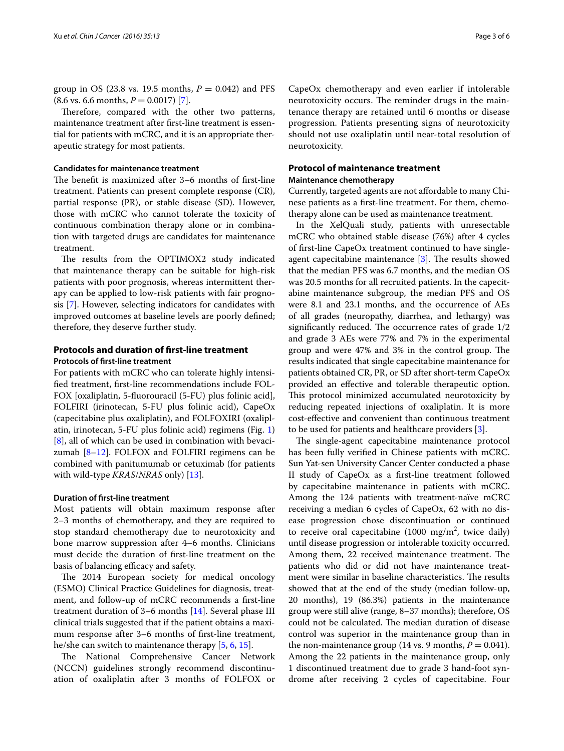group in OS (23.8 vs. 19.5 months,  $P = 0.042$ ) and PFS (8.6 vs. 6.6 months, *P* = 0.0017) [\[7\]](#page-5-4).

Therefore, compared with the other two patterns, maintenance treatment after first-line treatment is essential for patients with mCRC, and it is an appropriate therapeutic strategy for most patients.

#### **Candidates for maintenance treatment**

The benefit is maximized after 3–6 months of first-line treatment. Patients can present complete response (CR), partial response (PR), or stable disease (SD). However, those with mCRC who cannot tolerate the toxicity of continuous combination therapy alone or in combination with targeted drugs are candidates for maintenance treatment.

The results from the OPTIMOX2 study indicated that maintenance therapy can be suitable for high-risk patients with poor prognosis, whereas intermittent therapy can be applied to low-risk patients with fair prognosis [\[7](#page-5-4)]. However, selecting indicators for candidates with improved outcomes at baseline levels are poorly defined; therefore, they deserve further study.

## **Protocols and duration of first-line treatment Protocols of first‑line treatment**

For patients with mCRC who can tolerate highly intensified treatment, first-line recommendations include FOL-FOX [oxaliplatin, 5-fluorouracil (5-FU) plus folinic acid], FOLFIRI (irinotecan, 5-FU plus folinic acid), CapeOx (capecitabine plus oxaliplatin), and FOLFOXIRI (oxaliplatin, irinotecan, 5-FU plus folinic acid) regimens (Fig. [1](#page-1-0)) [[8\]](#page-5-5), all of which can be used in combination with bevacizumab [\[8–](#page-5-5)[12\]](#page-5-6). FOLFOX and FOLFIRI regimens can be combined with panitumumab or cetuximab (for patients with wild-type *KRAS*/*NRAS* only) [\[13](#page-5-7)].

#### **Duration of first‑line treatment**

Most patients will obtain maximum response after 2–3 months of chemotherapy, and they are required to stop standard chemotherapy due to neurotoxicity and bone marrow suppression after 4–6 months. Clinicians must decide the duration of first-line treatment on the basis of balancing efficacy and safety.

The 2014 European society for medical oncology (ESMO) Clinical Practice Guidelines for diagnosis, treatment, and follow-up of mCRC recommends a first-line treatment duration of 3–6 months [\[14\]](#page-5-8). Several phase III clinical trials suggested that if the patient obtains a maximum response after 3–6 months of first-line treatment, he/she can switch to maintenance therapy [\[5](#page-5-2), [6,](#page-5-3) [15](#page-5-9)].

The National Comprehensive Cancer Network (NCCN) guidelines strongly recommend discontinuation of oxaliplatin after 3 months of FOLFOX or

CapeOx chemotherapy and even earlier if intolerable neurotoxicity occurs. The reminder drugs in the maintenance therapy are retained until 6 months or disease progression. Patients presenting signs of neurotoxicity should not use oxaliplatin until near-total resolution of neurotoxicity.

## **Protocol of maintenance treatment**

#### **Maintenance chemotherapy**

Currently, targeted agents are not affordable to many Chinese patients as a first-line treatment. For them, chemotherapy alone can be used as maintenance treatment.

In the XelQuali study, patients with unresectable mCRC who obtained stable disease (76%) after 4 cycles of first-line CapeOx treatment continued to have singleagent capecitabine maintenance  $[3]$  $[3]$ . The results showed that the median PFS was 6.7 months, and the median OS was 20.5 months for all recruited patients. In the capecitabine maintenance subgroup, the median PFS and OS were 8.1 and 23.1 months, and the occurrence of AEs of all grades (neuropathy, diarrhea, and lethargy) was significantly reduced. The occurrence rates of grade 1/2 and grade 3 AEs were 77% and 7% in the experimental group and were 47% and 3% in the control group. The results indicated that single capecitabine maintenance for patients obtained CR, PR, or SD after short-term CapeOx provided an effective and tolerable therapeutic option. This protocol minimized accumulated neurotoxicity by reducing repeated injections of oxaliplatin. It is more cost-effective and convenient than continuous treatment to be used for patients and healthcare providers [\[3](#page-5-10)].

The single-agent capecitabine maintenance protocol has been fully verified in Chinese patients with mCRC. Sun Yat-sen University Cancer Center conducted a phase II study of CapeOx as a first-line treatment followed by capecitabine maintenance in patients with mCRC. Among the 124 patients with treatment-naïve mCRC receiving a median 6 cycles of CapeOx, 62 with no disease progression chose discontinuation or continued to receive oral capecitabine (1000 mg/m<sup>2</sup>, twice daily) until disease progression or intolerable toxicity occurred. Among them, 22 received maintenance treatment. The patients who did or did not have maintenance treatment were similar in baseline characteristics. The results showed that at the end of the study (median follow-up, 20 months), 19 (86.3%) patients in the maintenance group were still alive (range, 8–37 months); therefore, OS could not be calculated. The median duration of disease control was superior in the maintenance group than in the non-maintenance group (14 vs. 9 months,  $P = 0.041$ ). Among the 22 patients in the maintenance group, only 1 discontinued treatment due to grade 3 hand-foot syndrome after receiving 2 cycles of capecitabine. Four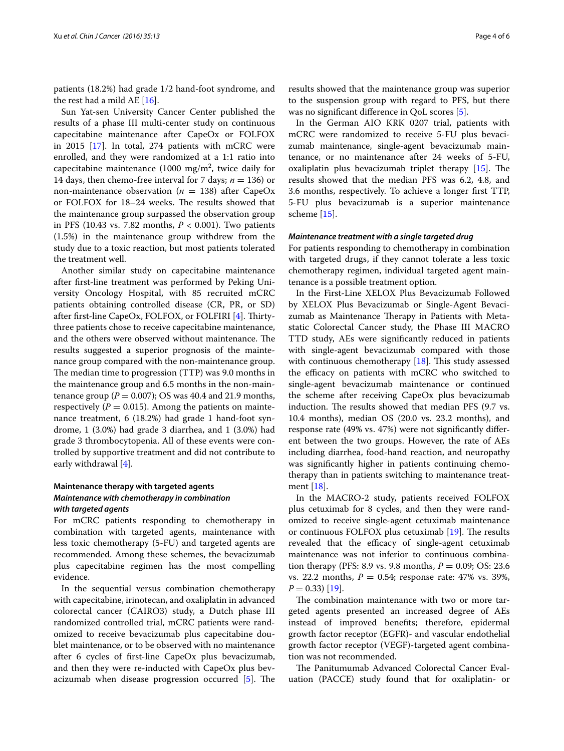patients (18.2%) had grade 1/2 hand-foot syndrome, and the rest had a mild AE [[16\]](#page-5-11).

Sun Yat-sen University Cancer Center published the results of a phase III multi-center study on continuous capecitabine maintenance after CapeOx or FOLFOX in 2015 [[17](#page-5-12)]. In total, 274 patients with mCRC were enrolled, and they were randomized at a 1:1 ratio into capecitabine maintenance  $(1000 \text{ mg/m}^2, \text{ twice daily for }$ 14 days, then chemo-free interval for 7 days;  $n = 136$ ) or non-maintenance observation ( $n = 138$ ) after CapeOx or FOLFOX for 18–24 weeks. The results showed that the maintenance group surpassed the observation group in PFS (10.43 vs. 7.82 months,  $P < 0.001$ ). Two patients (1.5%) in the maintenance group withdrew from the study due to a toxic reaction, but most patients tolerated the treatment well.

Another similar study on capecitabine maintenance after first-line treatment was performed by Peking University Oncology Hospital, with 85 recruited mCRC patients obtaining controlled disease (CR, PR, or SD) after first-line CapeOx, FOLFOX, or FOLFIRI [\[4\]](#page-5-13). Thirtythree patients chose to receive capecitabine maintenance, and the others were observed without maintenance. The results suggested a superior prognosis of the maintenance group compared with the non-maintenance group. The median time to progression (TTP) was 9.0 months in the maintenance group and 6.5 months in the non-maintenance group ( $P = 0.007$ ); OS was 40.4 and 21.9 months, respectively ( $P = 0.015$ ). Among the patients on maintenance treatment, 6 (18.2%) had grade 1 hand-foot syndrome, 1 (3.0%) had grade 3 diarrhea, and 1 (3.0%) had grade 3 thrombocytopenia. All of these events were controlled by supportive treatment and did not contribute to early withdrawal [[4\]](#page-5-13).

## **Maintenance therapy with targeted agents** *Maintenance with chemotherapy in combination with targeted agents*

For mCRC patients responding to chemotherapy in combination with targeted agents, maintenance with less toxic chemotherapy (5-FU) and targeted agents are recommended. Among these schemes, the bevacizumab plus capecitabine regimen has the most compelling evidence.

In the sequential versus combination chemotherapy with capecitabine, irinotecan, and oxaliplatin in advanced colorectal cancer (CAIRO3) study, a Dutch phase III randomized controlled trial, mCRC patients were randomized to receive bevacizumab plus capecitabine doublet maintenance, or to be observed with no maintenance after 6 cycles of first-line CapeOx plus bevacizumab, and then they were re-inducted with CapeOx plus bevacizumab when disease progression occurred [[5\]](#page-5-2). The

results showed that the maintenance group was superior to the suspension group with regard to PFS, but there was no significant difference in QoL scores [[5\]](#page-5-2).

In the German AIO KRK 0207 trial, patients with mCRC were randomized to receive 5-FU plus bevacizumab maintenance, single-agent bevacizumab maintenance, or no maintenance after 24 weeks of 5-FU, oxaliplatin plus bevacizumab triplet therapy [[15\]](#page-5-9). The results showed that the median PFS was 6.2, 4.8, and 3.6 months, respectively. To achieve a longer first TTP, 5-FU plus bevacizumab is a superior maintenance scheme [\[15\]](#page-5-9).

#### *Maintenance treatment with a single targeted drug*

For patients responding to chemotherapy in combination with targeted drugs, if they cannot tolerate a less toxic chemotherapy regimen, individual targeted agent maintenance is a possible treatment option.

In the First-Line XELOX Plus Bevacizumab Followed by XELOX Plus Bevacizumab or Single-Agent Bevacizumab as Maintenance Therapy in Patients with Metastatic Colorectal Cancer study, the Phase III MACRO TTD study, AEs were significantly reduced in patients with single-agent bevacizumab compared with those with continuous chemotherapy [\[18\]](#page-5-14). This study assessed the efficacy on patients with mCRC who switched to single-agent bevacizumab maintenance or continued the scheme after receiving CapeOx plus bevacizumab induction. The results showed that median PFS (9.7 vs. 10.4 months), median OS (20.0 vs. 23.2 months), and response rate (49% vs. 47%) were not significantly different between the two groups. However, the rate of AEs including diarrhea, food-hand reaction, and neuropathy was significantly higher in patients continuing chemotherapy than in patients switching to maintenance treatment [[18](#page-5-14)].

In the MACRO-2 study, patients received FOLFOX plus cetuximab for 8 cycles, and then they were randomized to receive single-agent cetuximab maintenance or continuous FOLFOX plus cetuximab [[19\]](#page-5-15). The results revealed that the efficacy of single-agent cetuximab maintenance was not inferior to continuous combination therapy (PFS: 8.9 vs. 9.8 months,  $P = 0.09$ ; OS: 23.6 vs. 22.2 months, *P* = 0.54; response rate: 47% vs. 39%,  $P = 0.33$  [\[19](#page-5-15)].

The combination maintenance with two or more targeted agents presented an increased degree of AEs instead of improved benefits; therefore, epidermal growth factor receptor (EGFR)- and vascular endothelial growth factor receptor (VEGF)-targeted agent combination was not recommended.

The Panitumumab Advanced Colorectal Cancer Evaluation (PACCE) study found that for oxaliplatin- or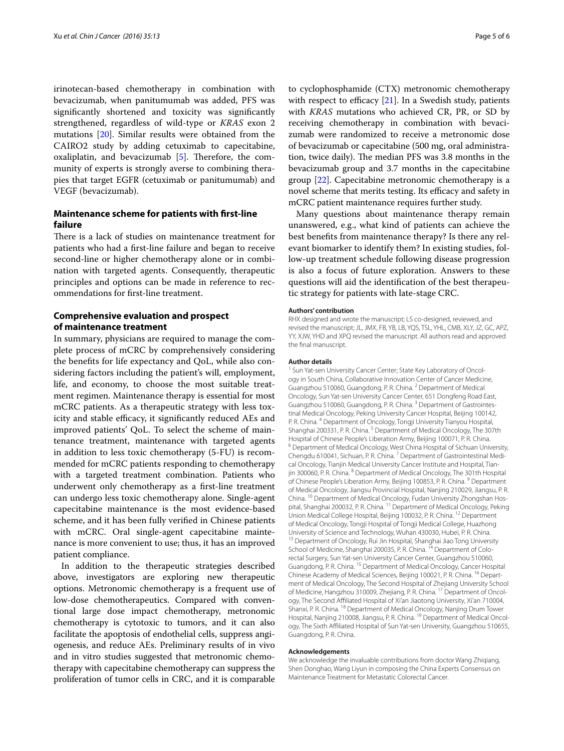irinotecan-based chemotherapy in combination with bevacizumab, when panitumumab was added, PFS was significantly shortened and toxicity was significantly strengthened, regardless of wild-type or *KRAS* exon 2 mutations [\[20](#page-5-16)]. Similar results were obtained from the CAIRO2 study by adding cetuximab to capecitabine, oxaliplatin, and bevacizumab [[5\]](#page-5-2). Therefore, the community of experts is strongly averse to combining therapies that target EGFR (cetuximab or panitumumab) and VEGF (bevacizumab).

## **Maintenance scheme for patients with first-line failure**

There is a lack of studies on maintenance treatment for patients who had a first-line failure and began to receive second-line or higher chemotherapy alone or in combination with targeted agents. Consequently, therapeutic principles and options can be made in reference to recommendations for first-line treatment.

## **Comprehensive evaluation and prospect of maintenance treatment**

In summary, physicians are required to manage the complete process of mCRC by comprehensively considering the benefits for life expectancy and QoL, while also considering factors including the patient's will, employment, life, and economy, to choose the most suitable treatment regimen. Maintenance therapy is essential for most mCRC patients. As a therapeutic strategy with less toxicity and stable efficacy, it significantly reduced AEs and improved patients' QoL. To select the scheme of maintenance treatment, maintenance with targeted agents in addition to less toxic chemotherapy (5-FU) is recommended for mCRC patients responding to chemotherapy with a targeted treatment combination. Patients who underwent only chemotherapy as a first-line treatment can undergo less toxic chemotherapy alone. Single-agent capecitabine maintenance is the most evidence-based scheme, and it has been fully verified in Chinese patients with mCRC. Oral single-agent capecitabine maintenance is more convenient to use; thus, it has an improved patient compliance.

In addition to the therapeutic strategies described above, investigators are exploring new therapeutic options. Metronomic chemotherapy is a frequent use of low-dose chemotherapeutics. Compared with conventional large dose impact chemotherapy, metronomic chemotherapy is cytotoxic to tumors, and it can also facilitate the apoptosis of endothelial cells, suppress angiogenesis, and reduce AEs. Preliminary results of in vivo and in vitro studies suggested that metronomic chemotherapy with capecitabine chemotherapy can suppress the proliferation of tumor cells in CRC, and it is comparable

to cyclophosphamide (CTX) metronomic chemotherapy with respect to efficacy [\[21\]](#page-5-17). In a Swedish study, patients with *KRAS* mutations who achieved CR, PR, or SD by receiving chemotherapy in combination with bevacizumab were randomized to receive a metronomic dose of bevacizumab or capecitabine (500 mg, oral administration, twice daily). The median PFS was 3.8 months in the bevacizumab group and 3.7 months in the capecitabine group [\[22\]](#page-5-18). Capecitabine metronomic chemotherapy is a novel scheme that merits testing. Its efficacy and safety in mCRC patient maintenance requires further study.

Many questions about maintenance therapy remain unanswered, e.g., what kind of patients can achieve the best benefits from maintenance therapy? Is there any relevant biomarker to identify them? In existing studies, follow-up treatment schedule following disease progression is also a focus of future exploration. Answers to these questions will aid the identification of the best therapeutic strategy for patients with late-stage CRC.

#### **Authors' contribution**

RHX designed and wrote the manuscript; LS co-designed, reviewed, and revised the manuscript; JL, JMX, FB, YB, LB, YQS, TSL, YHL, CMB, XLY, JZ, GC, APZ, YY, XJW, YHD and XPQ revised the manuscript. All authors read and approved the final manuscript.

#### **Author details**

Sun Yat-sen University Cancer Center; State Key Laboratory of Oncology in South China, Collaborative Innovation Center of Cancer Medicine, Guangzhou 510060, Guangdong, P. R. China. <sup>2</sup> Department of Medical Oncology, Sun Yat-sen University Cancer Center, 651 Dongfeng Road East, Guangzhou 510060, Guangdong, P. R. China.<sup>3</sup> Department of Gastrointestinal Medical Oncology, Peking University Cancer Hospital, Beijing 100142, P. R. China. 4 Department of Oncology, Tongji University Tianyou Hospital, Shanghai 200331, P. R. China. <sup>5</sup> Department of Medical Oncology, The 307th Hospital of Chinese People's Liberation Army, Beijing 100071, P. R. China.<br><sup>6</sup> Department of Medical Oncology, West China Hospital of Sichuan University, Chengdu 610041, Sichuan, P. R. China. <sup>7</sup> Department of Gastrointestinal Medical Oncology, Tianjin Medical University Cancer Institute and Hospital, Tianjin 300060, P. R. China. <sup>8</sup> Department of Medical Oncology, The 301th Hospital of Chinese People's Liberation Army, Beijing 100853, P. R. China. <sup>9</sup> Department of Medical Oncology, Jiangsu Provincial Hospital, Nanjing 210029, Jiangsu, P. R. China. <sup>10</sup> Department of Medical Oncology, Fudan University Zhongshan Hospital, Shanghai 200032, P. R. China. 11 Department of Medical Oncology, Peking Union Medical College Hospital, Beijing 100032, P. R. China. 12 Department of Medical Oncology, Tongji Hospital of Tongji Medical College, Huazhong University of Science and Technology, Wuhan 430030, Hubei, P. R. China.<br><sup>13</sup> Department of Oncology, Rui Jin Hospital, Shanghai Jiao Tong University School of Medicine, Shanghai 200035, P. R. China. <sup>14</sup> Department of Colorectal Surgery, Sun Yat-sen University Cancer Center, Guangzhou 510060, Guangdong, P. R. China. <sup>15</sup> Department of Medical Oncology, Cancer Hospital Chinese Academy of Medical Sciences, Beijing 100021, P. R. China. <sup>16</sup> Department of Medical Oncology, The Second Hospital of Zhejiang University School of Medicine, Hangzhou 310009, Zhejiang, P. R. China. <sup>17</sup> Department of Oncology, The Second Affiliated Hospital of Xi'an Jiaotong University, Xi'an 710004, Shanxi, P. R. China. <sup>18</sup> Department of Medical Oncology, Nanjing Drum Tower Hospital, Nanjing 210008, Jiangsu, P. R. China. <sup>19</sup> Department of Medical Oncology, The Sixth Affiliated Hospital of Sun Yat-sen University, Guangzhou 510655, Guangdong, P. R. China.

#### **Acknowledgements**

We acknowledge the invaluable contributions from doctor Wang Zhiqiang, Shen Donghao, Wang Liyun in composing the China Experts Consensus on Maintenance Treatment for Metastatic Colorectal Cancer.